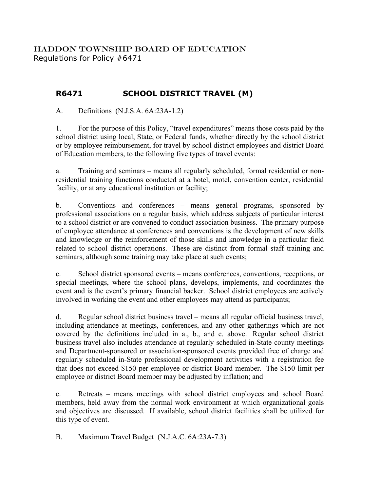HADDON TOWNSHIP BOARD OF EDUCATION Regulations for Policy #6471

## **R6471 SCHOOL DISTRICT TRAVEL (M)**

A. Definitions (N.J.S.A. 6A:23A-1.2)

1. For the purpose of this Policy, "travel expenditures" means those costs paid by the school district using local, State, or Federal funds, whether directly by the school district or by employee reimbursement, for travel by school district employees and district Board of Education members, to the following five types of travel events:

a. Training and seminars – means all regularly scheduled, formal residential or nonresidential training functions conducted at a hotel, motel, convention center, residential facility, or at any educational institution or facility;

b. Conventions and conferences – means general programs, sponsored by professional associations on a regular basis, which address subjects of particular interest to a school district or are convened to conduct association business. The primary purpose of employee attendance at conferences and conventions is the development of new skills and knowledge or the reinforcement of those skills and knowledge in a particular field related to school district operations. These are distinct from formal staff training and seminars, although some training may take place at such events;

c. School district sponsored events – means conferences, conventions, receptions, or special meetings, where the school plans, develops, implements, and coordinates the event and is the event's primary financial backer. School district employees are actively involved in working the event and other employees may attend as participants;

d. Regular school district business travel – means all regular official business travel, including attendance at meetings, conferences, and any other gatherings which are not covered by the definitions included in a., b., and c. above. Regular school district business travel also includes attendance at regularly scheduled in-State county meetings and Department-sponsored or association-sponsored events provided free of charge and regularly scheduled in-State professional development activities with a registration fee that does not exceed \$150 per employee or district Board member. The \$150 limit per employee or district Board member may be adjusted by inflation; and

e. Retreats – means meetings with school district employees and school Board members, held away from the normal work environment at which organizational goals and objectives are discussed. If available, school district facilities shall be utilized for this type of event.

B. Maximum Travel Budget (N.J.A.C. 6A:23A-7.3)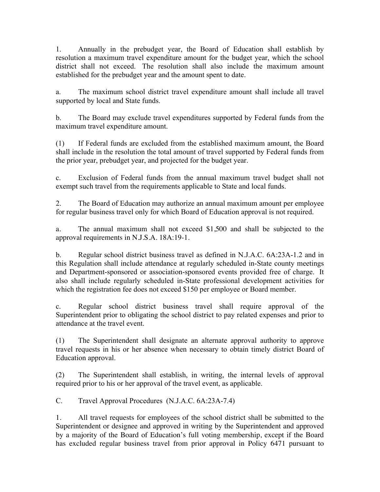1. Annually in the prebudget year, the Board of Education shall establish by resolution a maximum travel expenditure amount for the budget year, which the school district shall not exceed. The resolution shall also include the maximum amount established for the prebudget year and the amount spent to date.

a. The maximum school district travel expenditure amount shall include all travel supported by local and State funds.

b. The Board may exclude travel expenditures supported by Federal funds from the maximum travel expenditure amount.

(1) If Federal funds are excluded from the established maximum amount, the Board shall include in the resolution the total amount of travel supported by Federal funds from the prior year, prebudget year, and projected for the budget year.

c. Exclusion of Federal funds from the annual maximum travel budget shall not exempt such travel from the requirements applicable to State and local funds.

2. The Board of Education may authorize an annual maximum amount per employee for regular business travel only for which Board of Education approval is not required.

a. The annual maximum shall not exceed \$1,500 and shall be subjected to the approval requirements in N.J.S.A. 18A:19-1.

b. Regular school district business travel as defined in N.J.A.C. 6A:23A-1.2 and in this Regulation shall include attendance at regularly scheduled in-State county meetings and Department-sponsored or association-sponsored events provided free of charge. It also shall include regularly scheduled in-State professional development activities for which the registration fee does not exceed \$150 per employee or Board member.

c. Regular school district business travel shall require approval of the Superintendent prior to obligating the school district to pay related expenses and prior to attendance at the travel event.

(1) The Superintendent shall designate an alternate approval authority to approve travel requests in his or her absence when necessary to obtain timely district Board of Education approval.

(2) The Superintendent shall establish, in writing, the internal levels of approval required prior to his or her approval of the travel event, as applicable.

C. Travel Approval Procedures (N.J.A.C. 6A:23A-7.4)

1. All travel requests for employees of the school district shall be submitted to the Superintendent or designee and approved in writing by the Superintendent and approved by a majority of the Board of Education's full voting membership, except if the Board has excluded regular business travel from prior approval in Policy 6471 pursuant to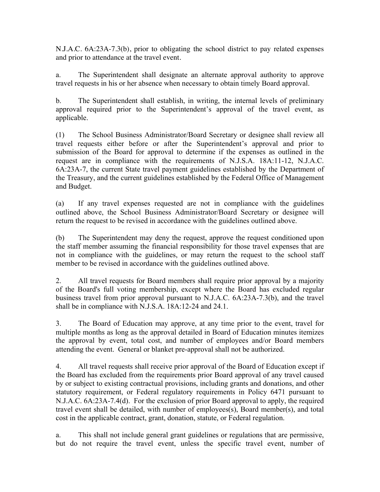N.J.A.C. 6A:23A-7.3(b), prior to obligating the school district to pay related expenses and prior to attendance at the travel event.

a. The Superintendent shall designate an alternate approval authority to approve travel requests in his or her absence when necessary to obtain timely Board approval.

b. The Superintendent shall establish, in writing, the internal levels of preliminary approval required prior to the Superintendent's approval of the travel event, as applicable.

(1) The School Business Administrator/Board Secretary or designee shall review all travel requests either before or after the Superintendent's approval and prior to submission of the Board for approval to determine if the expenses as outlined in the request are in compliance with the requirements of N.J.S.A. 18A:11-12, N.J.A.C. 6A:23A-7, the current State travel payment guidelines established by the Department of the Treasury, and the current guidelines established by the Federal Office of Management and Budget.

(a) If any travel expenses requested are not in compliance with the guidelines outlined above, the School Business Administrator/Board Secretary or designee will return the request to be revised in accordance with the guidelines outlined above.

(b) The Superintendent may deny the request, approve the request conditioned upon the staff member assuming the financial responsibility for those travel expenses that are not in compliance with the guidelines, or may return the request to the school staff member to be revised in accordance with the guidelines outlined above.

2. All travel requests for Board members shall require prior approval by a majority of the Board's full voting membership, except where the Board has excluded regular business travel from prior approval pursuant to N.J.A.C. 6A:23A-7.3(b), and the travel shall be in compliance with N.J.S.A. 18A:12-24 and 24.1.

3. The Board of Education may approve, at any time prior to the event, travel for multiple months as long as the approval detailed in Board of Education minutes itemizes the approval by event, total cost, and number of employees and/or Board members attending the event. General or blanket pre-approval shall not be authorized.

4. All travel requests shall receive prior approval of the Board of Education except if the Board has excluded from the requirements prior Board approval of any travel caused by or subject to existing contractual provisions, including grants and donations, and other statutory requirement, or Federal regulatory requirements in Policy 6471 pursuant to N.J.A.C. 6A:23A-7.4(d). For the exclusion of prior Board approval to apply, the required travel event shall be detailed, with number of employees(s), Board member(s), and total cost in the applicable contract, grant, donation, statute, or Federal regulation.

a. This shall not include general grant guidelines or regulations that are permissive, but do not require the travel event, unless the specific travel event, number of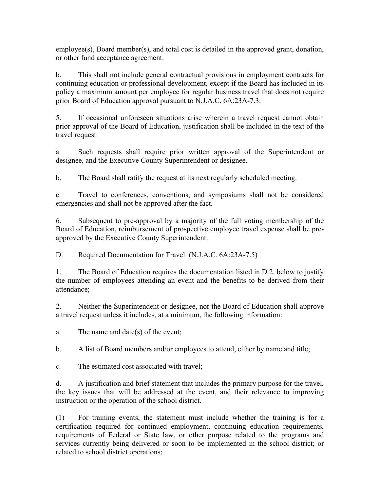employee(s), Board member(s), and total cost is detailed in the approved grant, donation, or other fund acceptance agreement.

b. This shall not include general contractual provisions in employment contracts for continuing education or professional development, except if the Board has included in its policy a maximum amount per employee for regular business travel that does not require prior Board of Education approval pursuant to N.J.A.C. 6A:23A-7.3.

5. If occasional unforeseen situations arise wherein a travel request cannot obtain prior approval of the Board of Education, justification shall be included in the text of the travel request.

a. Such requests shall require prior written approval of the Superintendent or designee, and the Executive County Superintendent or designee.

b. The Board shall ratify the request at its next regularly scheduled meeting.

c. Travel to conferences, conventions, and symposiums shall not be considered emergencies and shall not be approved after the fact.

6. Subsequent to pre-approval by a majority of the full voting membership of the Board of Education, reimbursement of prospective employee travel expense shall be preapproved by the Executive County Superintendent.

D. Required Documentation for Travel (N.J.A.C. 6A:23A-7.5)

1. The Board of Education requires the documentation listed in D.2. below to justify the number of employees attending an event and the benefits to be derived from their attendance;

2. Neither the Superintendent or designee, nor the Board of Education shall approve a travel request unless it includes, at a minimum, the following information:

a. The name and date(s) of the event;

b. A list of Board members and/or employees to attend, either by name and title;

c. The estimated cost associated with travel;

d. A justification and brief statement that includes the primary purpose for the travel, the key issues that will be addressed at the event, and their relevance to improving instruction or the operation of the school district.

(1) For training events, the statement must include whether the training is for a certification required for continued employment, continuing education requirements, requirements of Federal or State law, or other purpose related to the programs and services currently being delivered or soon to be implemented in the school district; or related to school district operations;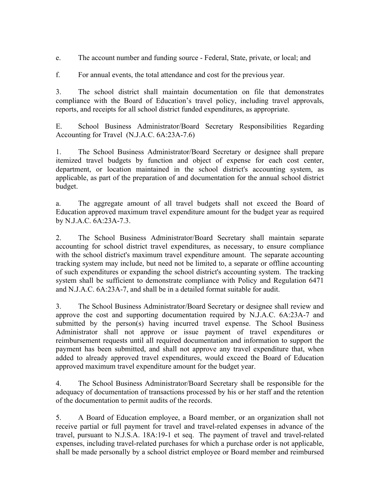e. The account number and funding source - Federal, State, private, or local; and

f. For annual events, the total attendance and cost for the previous year.

3. The school district shall maintain documentation on file that demonstrates compliance with the Board of Education's travel policy, including travel approvals, reports, and receipts for all school district funded expenditures, as appropriate.

E. School Business Administrator/Board Secretary Responsibilities Regarding Accounting for Travel (N.J.A.C. 6A:23A-7.6)

1. The School Business Administrator/Board Secretary or designee shall prepare itemized travel budgets by function and object of expense for each cost center, department, or location maintained in the school district's accounting system, as applicable, as part of the preparation of and documentation for the annual school district budget.

a. The aggregate amount of all travel budgets shall not exceed the Board of Education approved maximum travel expenditure amount for the budget year as required by N.J.A.C. 6A:23A-7.3.

2. The School Business Administrator/Board Secretary shall maintain separate accounting for school district travel expenditures, as necessary, to ensure compliance with the school district's maximum travel expenditure amount. The separate accounting tracking system may include, but need not be limited to, a separate or offline accounting of such expenditures or expanding the school district's accounting system. The tracking system shall be sufficient to demonstrate compliance with Policy and Regulation 6471 and N.J.A.C. 6A:23A-7, and shall be in a detailed format suitable for audit.

3. The School Business Administrator/Board Secretary or designee shall review and approve the cost and supporting documentation required by N.J.A.C. 6A:23A-7 and submitted by the person(s) having incurred travel expense. The School Business Administrator shall not approve or issue payment of travel expenditures or reimbursement requests until all required documentation and information to support the payment has been submitted, and shall not approve any travel expenditure that, when added to already approved travel expenditures, would exceed the Board of Education approved maximum travel expenditure amount for the budget year.

4. The School Business Administrator/Board Secretary shall be responsible for the adequacy of documentation of transactions processed by his or her staff and the retention of the documentation to permit audits of the records.

5. A Board of Education employee, a Board member, or an organization shall not receive partial or full payment for travel and travel-related expenses in advance of the travel, pursuant to N.J.S.A. 18A:19-1 et seq. The payment of travel and travel-related expenses, including travel-related purchases for which a purchase order is not applicable, shall be made personally by a school district employee or Board member and reimbursed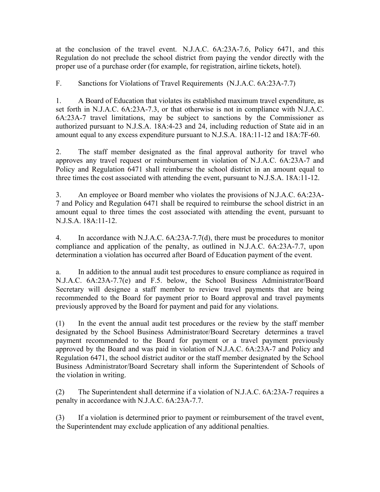at the conclusion of the travel event. N.J.A.C. 6A:23A-7.6, Policy 6471, and this Regulation do not preclude the school district from paying the vendor directly with the proper use of a purchase order (for example, for registration, airline tickets, hotel).

F. Sanctions for Violations of Travel Requirements (N.J.A.C. 6A:23A-7.7)

1. A Board of Education that violates its established maximum travel expenditure, as set forth in N.J.A.C. 6A:23A-7.3, or that otherwise is not in compliance with N.J.A.C. 6A:23A-7 travel limitations, may be subject to sanctions by the Commissioner as authorized pursuant to N.J.S.A. 18A:4-23 and 24, including reduction of State aid in an amount equal to any excess expenditure pursuant to N.J.S.A. 18A:11-12 and 18A:7F-60.

2. The staff member designated as the final approval authority for travel who approves any travel request or reimbursement in violation of N.J.A.C. 6A:23A-7 and Policy and Regulation 6471 shall reimburse the school district in an amount equal to three times the cost associated with attending the event, pursuant to N.J.S.A. 18A:11-12.

3. An employee or Board member who violates the provisions of N.J.A.C. 6A:23A-7 and Policy and Regulation 6471 shall be required to reimburse the school district in an amount equal to three times the cost associated with attending the event, pursuant to N.J.S.A. 18A:11-12.

4. In accordance with N.J.A.C. 6A:23A-7.7(d), there must be procedures to monitor compliance and application of the penalty, as outlined in N.J.A.C. 6A:23A-7.7, upon determination a violation has occurred after Board of Education payment of the event.

a. In addition to the annual audit test procedures to ensure compliance as required in N.J.A.C. 6A:23A-7.7(e) and F.5. below, the School Business Administrator/Board Secretary will designee a staff member to review travel payments that are being recommended to the Board for payment prior to Board approval and travel payments previously approved by the Board for payment and paid for any violations.

(1) In the event the annual audit test procedures or the review by the staff member designated by the School Business Administrator/Board Secretary determines a travel payment recommended to the Board for payment or a travel payment previously approved by the Board and was paid in violation of N.J.A.C. 6A:23A-7 and Policy and Regulation 6471, the school district auditor or the staff member designated by the School Business Administrator/Board Secretary shall inform the Superintendent of Schools of the violation in writing.

(2) The Superintendent shall determine if a violation of N.J.A.C. 6A:23A-7 requires a penalty in accordance with N.J.A.C. 6A:23A-7.7.

(3) If a violation is determined prior to payment or reimbursement of the travel event, the Superintendent may exclude application of any additional penalties.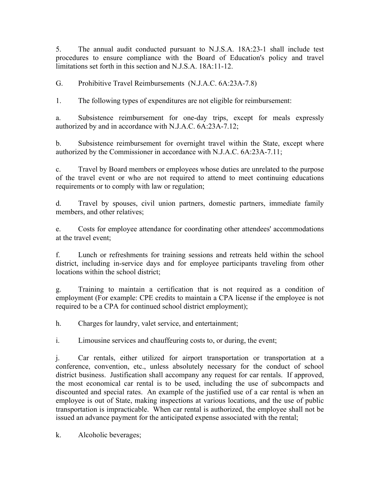5. The annual audit conducted pursuant to N.J.S.A. 18A:23-1 shall include test procedures to ensure compliance with the Board of Education's policy and travel limitations set forth in this section and N.J.S.A. 18A:11-12.

G. Prohibitive Travel Reimbursements (N.J.A.C. 6A:23A-7.8)

1. The following types of expenditures are not eligible for reimbursement:

a. Subsistence reimbursement for one-day trips, except for meals expressly authorized by and in accordance with N.J.A.C. 6A:23A-7.12;

b. Subsistence reimbursement for overnight travel within the State, except where authorized by the Commissioner in accordance with N.J.A.C. 6A:23A-7.11;

c. Travel by Board members or employees whose duties are unrelated to the purpose of the travel event or who are not required to attend to meet continuing educations requirements or to comply with law or regulation;

d. Travel by spouses, civil union partners, domestic partners, immediate family members, and other relatives;

e. Costs for employee attendance for coordinating other attendees' accommodations at the travel event;

f. Lunch or refreshments for training sessions and retreats held within the school district, including in-service days and for employee participants traveling from other locations within the school district;

g. Training to maintain a certification that is not required as a condition of employment (For example: CPE credits to maintain a CPA license if the employee is not required to be a CPA for continued school district employment);

h. Charges for laundry, valet service, and entertainment;

i. Limousine services and chauffeuring costs to, or during, the event;

j. Car rentals, either utilized for airport transportation or transportation at a conference, convention, etc., unless absolutely necessary for the conduct of school district business. Justification shall accompany any request for car rentals. If approved, the most economical car rental is to be used, including the use of subcompacts and discounted and special rates. An example of the justified use of a car rental is when an employee is out of State, making inspections at various locations, and the use of public transportation is impracticable. When car rental is authorized, the employee shall not be issued an advance payment for the anticipated expense associated with the rental;

k. Alcoholic beverages;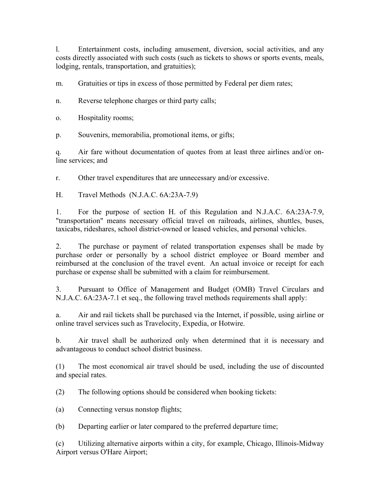l. Entertainment costs, including amusement, diversion, social activities, and any costs directly associated with such costs (such as tickets to shows or sports events, meals, lodging, rentals, transportation, and gratuities);

m. Gratuities or tips in excess of those permitted by Federal per diem rates;

n. Reverse telephone charges or third party calls;

o. Hospitality rooms;

p. Souvenirs, memorabilia, promotional items, or gifts;

q. Air fare without documentation of quotes from at least three airlines and/or online services; and

r. Other travel expenditures that are unnecessary and/or excessive.

H. Travel Methods (N.J.A.C. 6A:23A-7.9)

1. For the purpose of section H. of this Regulation and N.J.A.C. 6A:23A-7.9, "transportation" means necessary official travel on railroads, airlines, shuttles, buses, taxicabs, rideshares, school district-owned or leased vehicles, and personal vehicles.

2. The purchase or payment of related transportation expenses shall be made by purchase order or personally by a school district employee or Board member and reimbursed at the conclusion of the travel event. An actual invoice or receipt for each purchase or expense shall be submitted with a claim for reimbursement.

3. Pursuant to Office of Management and Budget (OMB) Travel Circulars and N.J.A.C. 6A:23A-7.1 et seq., the following travel methods requirements shall apply:

a. Air and rail tickets shall be purchased via the Internet, if possible, using airline or online travel services such as Travelocity, Expedia, or Hotwire.

b. Air travel shall be authorized only when determined that it is necessary and advantageous to conduct school district business.

(1) The most economical air travel should be used, including the use of discounted and special rates.

(2) The following options should be considered when booking tickets:

(a) Connecting versus nonstop flights;

(b) Departing earlier or later compared to the preferred departure time;

(c) Utilizing alternative airports within a city, for example, Chicago, Illinois-Midway Airport versus O'Hare Airport;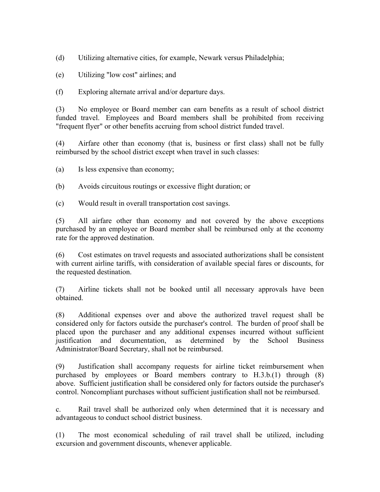(d) Utilizing alternative cities, for example, Newark versus Philadelphia;

(e) Utilizing "low cost" airlines; and

(f) Exploring alternate arrival and/or departure days.

(3) No employee or Board member can earn benefits as a result of school district funded travel. Employees and Board members shall be prohibited from receiving "frequent flyer" or other benefits accruing from school district funded travel.

(4) Airfare other than economy (that is, business or first class) shall not be fully reimbursed by the school district except when travel in such classes:

- (a) Is less expensive than economy;
- (b) Avoids circuitous routings or excessive flight duration; or
- (c) Would result in overall transportation cost savings.

(5) All airfare other than economy and not covered by the above exceptions purchased by an employee or Board member shall be reimbursed only at the economy rate for the approved destination.

(6) Cost estimates on travel requests and associated authorizations shall be consistent with current airline tariffs, with consideration of available special fares or discounts, for the requested destination.

(7) Airline tickets shall not be booked until all necessary approvals have been obtained.

(8) Additional expenses over and above the authorized travel request shall be considered only for factors outside the purchaser's control. The burden of proof shall be placed upon the purchaser and any additional expenses incurred without sufficient justification and documentation, as determined by the School Business Administrator/Board Secretary, shall not be reimbursed.

(9) Justification shall accompany requests for airline ticket reimbursement when purchased by employees or Board members contrary to H.3.b.(1) through (8) above. Sufficient justification shall be considered only for factors outside the purchaser's control. Noncompliant purchases without sufficient justification shall not be reimbursed.

c. Rail travel shall be authorized only when determined that it is necessary and advantageous to conduct school district business.

(1) The most economical scheduling of rail travel shall be utilized, including excursion and government discounts, whenever applicable.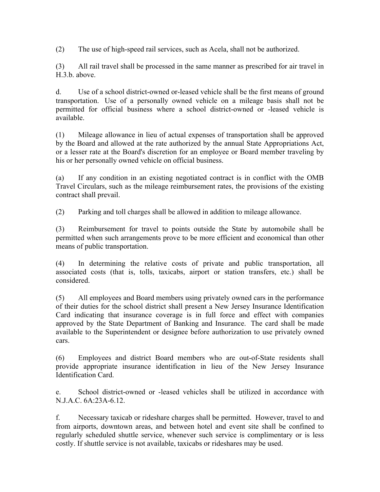(2) The use of high-speed rail services, such as Acela, shall not be authorized.

(3) All rail travel shall be processed in the same manner as prescribed for air travel in H.3.b. above.

d. Use of a school district-owned or-leased vehicle shall be the first means of ground transportation. Use of a personally owned vehicle on a mileage basis shall not be permitted for official business where a school district-owned or -leased vehicle is available.

(1) Mileage allowance in lieu of actual expenses of transportation shall be approved by the Board and allowed at the rate authorized by the annual State Appropriations Act, or a lesser rate at the Board's discretion for an employee or Board member traveling by his or her personally owned vehicle on official business.

(a) If any condition in an existing negotiated contract is in conflict with the OMB Travel Circulars, such as the mileage reimbursement rates, the provisions of the existing contract shall prevail.

(2) Parking and toll charges shall be allowed in addition to mileage allowance.

(3) Reimbursement for travel to points outside the State by automobile shall be permitted when such arrangements prove to be more efficient and economical than other means of public transportation.

(4) In determining the relative costs of private and public transportation, all associated costs (that is, tolls, taxicabs, airport or station transfers, etc.) shall be considered.

(5) All employees and Board members using privately owned cars in the performance of their duties for the school district shall present a New Jersey Insurance Identification Card indicating that insurance coverage is in full force and effect with companies approved by the State Department of Banking and Insurance. The card shall be made available to the Superintendent or designee before authorization to use privately owned cars.

(6) Employees and district Board members who are out-of-State residents shall provide appropriate insurance identification in lieu of the New Jersey Insurance Identification Card.

e. School district-owned or -leased vehicles shall be utilized in accordance with N.J.A.C. 6A:23A-6.12.

f. Necessary taxicab or rideshare charges shall be permitted. However, travel to and from airports, downtown areas, and between hotel and event site shall be confined to regularly scheduled shuttle service, whenever such service is complimentary or is less costly. If shuttle service is not available, taxicabs or rideshares may be used.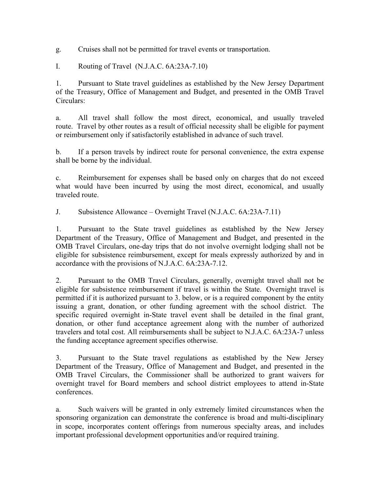g. Cruises shall not be permitted for travel events or transportation.

I. Routing of Travel (N.J.A.C. 6A:23A-7.10)

1. Pursuant to State travel guidelines as established by the New Jersey Department of the Treasury, Office of Management and Budget, and presented in the OMB Travel Circulars:

a. All travel shall follow the most direct, economical, and usually traveled route. Travel by other routes as a result of official necessity shall be eligible for payment or reimbursement only if satisfactorily established in advance of such travel.

b. If a person travels by indirect route for personal convenience, the extra expense shall be borne by the individual.

c. Reimbursement for expenses shall be based only on charges that do not exceed what would have been incurred by using the most direct, economical, and usually traveled route.

J. Subsistence Allowance – Overnight Travel (N.J.A.C. 6A:23A-7.11)

1. Pursuant to the State travel guidelines as established by the New Jersey Department of the Treasury, Office of Management and Budget, and presented in the OMB Travel Circulars, one-day trips that do not involve overnight lodging shall not be eligible for subsistence reimbursement, except for meals expressly authorized by and in accordance with the provisions of N.J.A.C. 6A:23A-7.12.

2. Pursuant to the OMB Travel Circulars, generally, overnight travel shall not be eligible for subsistence reimbursement if travel is within the State. Overnight travel is permitted if it is authorized pursuant to 3. below, or is a required component by the entity issuing a grant, donation, or other funding agreement with the school district. The specific required overnight in-State travel event shall be detailed in the final grant, donation, or other fund acceptance agreement along with the number of authorized travelers and total cost. All reimbursements shall be subject to N.J.A.C. 6A:23A-7 unless the funding acceptance agreement specifies otherwise.

3. Pursuant to the State travel regulations as established by the New Jersey Department of the Treasury, Office of Management and Budget, and presented in the OMB Travel Circulars, the Commissioner shall be authorized to grant waivers for overnight travel for Board members and school district employees to attend in-State conferences.

a. Such waivers will be granted in only extremely limited circumstances when the sponsoring organization can demonstrate the conference is broad and multi-disciplinary in scope, incorporates content offerings from numerous specialty areas, and includes important professional development opportunities and/or required training.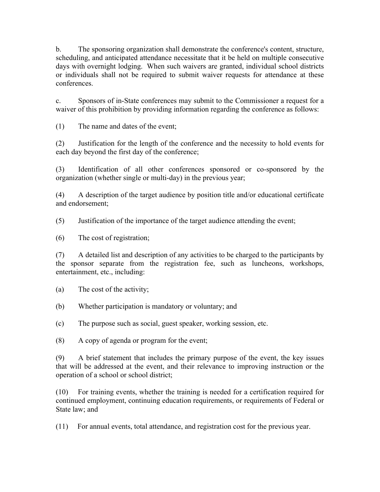b. The sponsoring organization shall demonstrate the conference's content, structure, scheduling, and anticipated attendance necessitate that it be held on multiple consecutive days with overnight lodging. When such waivers are granted, individual school districts or individuals shall not be required to submit waiver requests for attendance at these conferences.

c. Sponsors of in-State conferences may submit to the Commissioner a request for a waiver of this prohibition by providing information regarding the conference as follows:

(1) The name and dates of the event;

(2) Justification for the length of the conference and the necessity to hold events for each day beyond the first day of the conference;

(3) Identification of all other conferences sponsored or co-sponsored by the organization (whether single or multi-day) in the previous year;

(4) A description of the target audience by position title and/or educational certificate and endorsement;

(5) Justification of the importance of the target audience attending the event;

(6) The cost of registration;

(7) A detailed list and description of any activities to be charged to the participants by the sponsor separate from the registration fee, such as luncheons, workshops, entertainment, etc., including:

(a) The cost of the activity;

(b) Whether participation is mandatory or voluntary; and

(c) The purpose such as social, guest speaker, working session, etc.

(8) A copy of agenda or program for the event;

(9) A brief statement that includes the primary purpose of the event, the key issues that will be addressed at the event, and their relevance to improving instruction or the operation of a school or school district;

(10) For training events, whether the training is needed for a certification required for continued employment, continuing education requirements, or requirements of Federal or State law; and

(11) For annual events, total attendance, and registration cost for the previous year.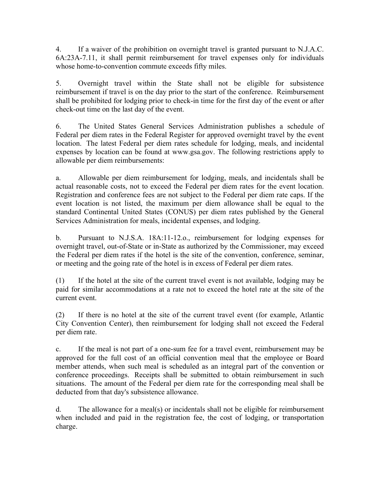4. If a waiver of the prohibition on overnight travel is granted pursuant to N.J.A.C. 6A:23A-7.11, it shall permit reimbursement for travel expenses only for individuals whose home-to-convention commute exceeds fifty miles.

5. Overnight travel within the State shall not be eligible for subsistence reimbursement if travel is on the day prior to the start of the conference. Reimbursement shall be prohibited for lodging prior to check-in time for the first day of the event or after check-out time on the last day of the event.

6. The United States General Services Administration publishes a schedule of Federal per diem rates in the Federal Register for approved overnight travel by the event location. The latest Federal per diem rates schedule for lodging, meals, and incidental expenses by location can be found at www.gsa.gov. The following restrictions apply to allowable per diem reimbursements:

a. Allowable per diem reimbursement for lodging, meals, and incidentals shall be actual reasonable costs, not to exceed the Federal per diem rates for the event location. Registration and conference fees are not subject to the Federal per diem rate caps. If the event location is not listed, the maximum per diem allowance shall be equal to the standard Continental United States (CONUS) per diem rates published by the General Services Administration for meals, incidental expenses, and lodging.

b. Pursuant to N.J.S.A. 18A:11-12.o., reimbursement for lodging expenses for overnight travel, out-of-State or in-State as authorized by the Commissioner, may exceed the Federal per diem rates if the hotel is the site of the convention, conference, seminar, or meeting and the going rate of the hotel is in excess of Federal per diem rates.

(1) If the hotel at the site of the current travel event is not available, lodging may be paid for similar accommodations at a rate not to exceed the hotel rate at the site of the current event.

(2) If there is no hotel at the site of the current travel event (for example, Atlantic City Convention Center), then reimbursement for lodging shall not exceed the Federal per diem rate.

c. If the meal is not part of a one-sum fee for a travel event, reimbursement may be approved for the full cost of an official convention meal that the employee or Board member attends, when such meal is scheduled as an integral part of the convention or conference proceedings. Receipts shall be submitted to obtain reimbursement in such situations. The amount of the Federal per diem rate for the corresponding meal shall be deducted from that day's subsistence allowance.

d. The allowance for a meal(s) or incidentals shall not be eligible for reimbursement when included and paid in the registration fee, the cost of lodging, or transportation charge.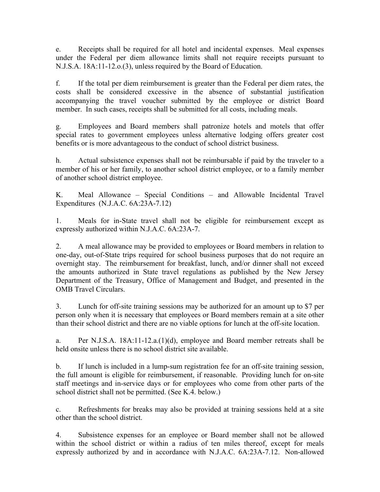e. Receipts shall be required for all hotel and incidental expenses. Meal expenses under the Federal per diem allowance limits shall not require receipts pursuant to N.J.S.A. 18A:11-12.o.(3), unless required by the Board of Education.

f. If the total per diem reimbursement is greater than the Federal per diem rates, the costs shall be considered excessive in the absence of substantial justification accompanying the travel voucher submitted by the employee or district Board member. In such cases, receipts shall be submitted for all costs, including meals.

g. Employees and Board members shall patronize hotels and motels that offer special rates to government employees unless alternative lodging offers greater cost benefits or is more advantageous to the conduct of school district business.

h. Actual subsistence expenses shall not be reimbursable if paid by the traveler to a member of his or her family, to another school district employee, or to a family member of another school district employee.

K. Meal Allowance – Special Conditions – and Allowable Incidental Travel Expenditures (N.J.A.C. 6A:23A-7.12)

1. Meals for in-State travel shall not be eligible for reimbursement except as expressly authorized within N.J.A.C. 6A:23A-7.

2. A meal allowance may be provided to employees or Board members in relation to one-day, out-of-State trips required for school business purposes that do not require an overnight stay. The reimbursement for breakfast, lunch, and/or dinner shall not exceed the amounts authorized in State travel regulations as published by the New Jersey Department of the Treasury, Office of Management and Budget, and presented in the OMB Travel Circulars.

3. Lunch for off-site training sessions may be authorized for an amount up to \$7 per person only when it is necessary that employees or Board members remain at a site other than their school district and there are no viable options for lunch at the off-site location.

a. Per N.J.S.A. 18A:11-12.a.(1)(d), employee and Board member retreats shall be held onsite unless there is no school district site available.

b. If lunch is included in a lump-sum registration fee for an off-site training session, the full amount is eligible for reimbursement, if reasonable. Providing lunch for on-site staff meetings and in-service days or for employees who come from other parts of the school district shall not be permitted. (See K.4. below.)

c. Refreshments for breaks may also be provided at training sessions held at a site other than the school district.

4. Subsistence expenses for an employee or Board member shall not be allowed within the school district or within a radius of ten miles thereof, except for meals expressly authorized by and in accordance with N.J.A.C. 6A:23A-7.12. Non-allowed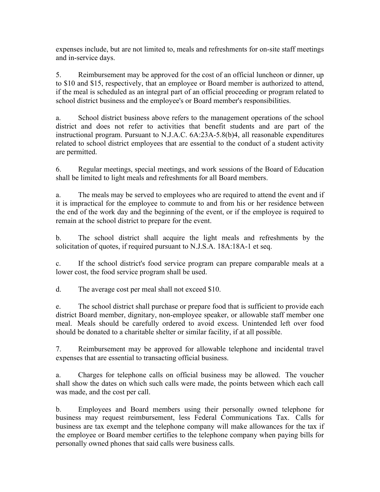expenses include, but are not limited to, meals and refreshments for on-site staff meetings and in-service days.

5. Reimbursement may be approved for the cost of an official luncheon or dinner, up to \$10 and \$15, respectively, that an employee or Board member is authorized to attend, if the meal is scheduled as an integral part of an official proceeding or program related to school district business and the employee's or Board member's responsibilities.

a. School district business above refers to the management operations of the school district and does not refer to activities that benefit students and are part of the instructional program. Pursuant to N.J.A.C. 6A:23A-5.8(b)4, all reasonable expenditures related to school district employees that are essential to the conduct of a student activity are permitted.

6. Regular meetings, special meetings, and work sessions of the Board of Education shall be limited to light meals and refreshments for all Board members.

a. The meals may be served to employees who are required to attend the event and if it is impractical for the employee to commute to and from his or her residence between the end of the work day and the beginning of the event, or if the employee is required to remain at the school district to prepare for the event.

b. The school district shall acquire the light meals and refreshments by the solicitation of quotes, if required pursuant to N.J.S.A. 18A:18A-1 et seq.

c. If the school district's food service program can prepare comparable meals at a lower cost, the food service program shall be used.

d. The average cost per meal shall not exceed \$10.

e. The school district shall purchase or prepare food that is sufficient to provide each district Board member, dignitary, non-employee speaker, or allowable staff member one meal. Meals should be carefully ordered to avoid excess. Unintended left over food should be donated to a charitable shelter or similar facility, if at all possible.

7. Reimbursement may be approved for allowable telephone and incidental travel expenses that are essential to transacting official business.

a. Charges for telephone calls on official business may be allowed. The voucher shall show the dates on which such calls were made, the points between which each call was made, and the cost per call.

b. Employees and Board members using their personally owned telephone for business may request reimbursement, less Federal Communications Tax. Calls for business are tax exempt and the telephone company will make allowances for the tax if the employee or Board member certifies to the telephone company when paying bills for personally owned phones that said calls were business calls.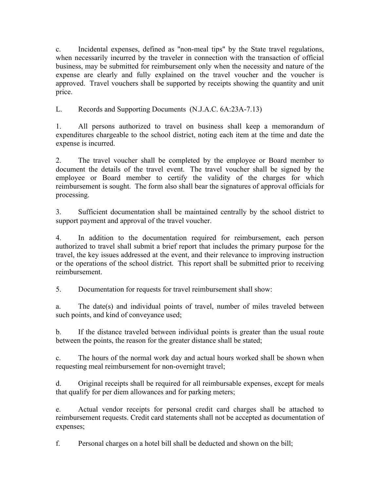c. Incidental expenses, defined as "non-meal tips" by the State travel regulations, when necessarily incurred by the traveler in connection with the transaction of official business, may be submitted for reimbursement only when the necessity and nature of the expense are clearly and fully explained on the travel voucher and the voucher is approved. Travel vouchers shall be supported by receipts showing the quantity and unit price.

L. Records and Supporting Documents (N.J.A.C. 6A:23A-7.13)

1. All persons authorized to travel on business shall keep a memorandum of expenditures chargeable to the school district, noting each item at the time and date the expense is incurred.

2. The travel voucher shall be completed by the employee or Board member to document the details of the travel event. The travel voucher shall be signed by the employee or Board member to certify the validity of the charges for which reimbursement is sought. The form also shall bear the signatures of approval officials for processing.

3. Sufficient documentation shall be maintained centrally by the school district to support payment and approval of the travel voucher.

4. In addition to the documentation required for reimbursement, each person authorized to travel shall submit a brief report that includes the primary purpose for the travel, the key issues addressed at the event, and their relevance to improving instruction or the operations of the school district. This report shall be submitted prior to receiving reimbursement.

5. Documentation for requests for travel reimbursement shall show:

a. The date(s) and individual points of travel, number of miles traveled between such points, and kind of conveyance used;

b. If the distance traveled between individual points is greater than the usual route between the points, the reason for the greater distance shall be stated;

c. The hours of the normal work day and actual hours worked shall be shown when requesting meal reimbursement for non-overnight travel;

d. Original receipts shall be required for all reimbursable expenses, except for meals that qualify for per diem allowances and for parking meters;

e. Actual vendor receipts for personal credit card charges shall be attached to reimbursement requests. Credit card statements shall not be accepted as documentation of expenses;

f. Personal charges on a hotel bill shall be deducted and shown on the bill;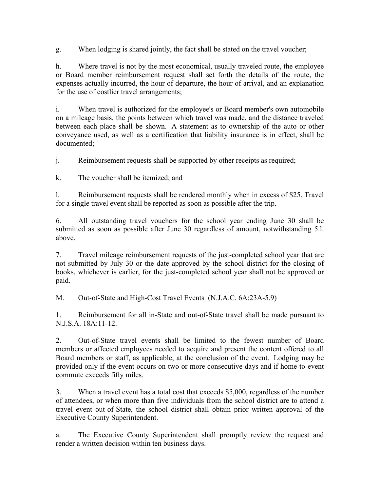g. When lodging is shared jointly, the fact shall be stated on the travel voucher;

h. Where travel is not by the most economical, usually traveled route, the employee or Board member reimbursement request shall set forth the details of the route, the expenses actually incurred, the hour of departure, the hour of arrival, and an explanation for the use of costlier travel arrangements;

i. When travel is authorized for the employee's or Board member's own automobile on a mileage basis, the points between which travel was made, and the distance traveled between each place shall be shown. A statement as to ownership of the auto or other conveyance used, as well as a certification that liability insurance is in effect, shall be documented;

j. Reimbursement requests shall be supported by other receipts as required;

k. The voucher shall be itemized; and

l. Reimbursement requests shall be rendered monthly when in excess of \$25. Travel for a single travel event shall be reported as soon as possible after the trip.

6. All outstanding travel vouchers for the school year ending June 30 shall be submitted as soon as possible after June 30 regardless of amount, notwithstanding 5.l. above.

7. Travel mileage reimbursement requests of the just-completed school year that are not submitted by July 30 or the date approved by the school district for the closing of books, whichever is earlier, for the just-completed school year shall not be approved or paid.

M. Out-of-State and High-Cost Travel Events (N.J.A.C. 6A:23A-5.9)

1. Reimbursement for all in-State and out-of-State travel shall be made pursuant to N.J.S.A. 18A:11-12.

2. Out-of-State travel events shall be limited to the fewest number of Board members or affected employees needed to acquire and present the content offered to all Board members or staff, as applicable, at the conclusion of the event. Lodging may be provided only if the event occurs on two or more consecutive days and if home-to-event commute exceeds fifty miles.

3. When a travel event has a total cost that exceeds \$5,000, regardless of the number of attendees, or when more than five individuals from the school district are to attend a travel event out-of-State, the school district shall obtain prior written approval of the Executive County Superintendent.

a. The Executive County Superintendent shall promptly review the request and render a written decision within ten business days.